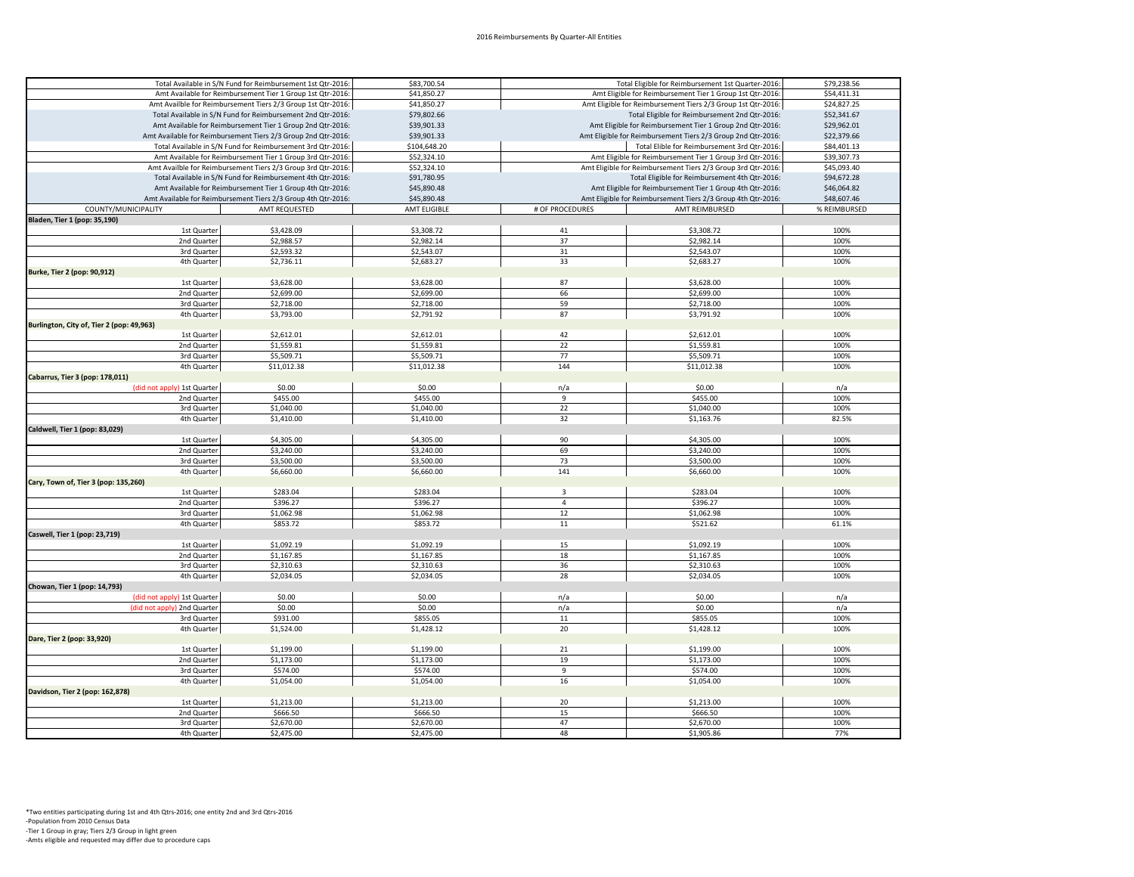|                                           | Total Available in S/N Fund for Reimbursement 1st Qtr-2016:   | \$83,700.54<br>Total Eligible for Reimbursement 1st Quarter-2016: |                                                              | \$79,238.56                                                  |              |
|-------------------------------------------|---------------------------------------------------------------|-------------------------------------------------------------------|--------------------------------------------------------------|--------------------------------------------------------------|--------------|
|                                           | Amt Available for Reimbursement Tier 1 Group 1st Qtr-2016:    | \$41,850.27                                                       | Amt Eligible for Reimbursement Tier 1 Group 1st Qtr-2016:    |                                                              | \$54,411.31  |
|                                           | Amt Availble for Reimbursement Tiers 2/3 Group 1st Qtr-2016:  | \$41,850.27                                                       | Amt Eligible for Reimbursement Tiers 2/3 Group 1st Qtr-2016: |                                                              | \$24,827.25  |
|                                           | Total Available in S/N Fund for Reimbursement 2nd Qtr-2016:   | \$79,802.66                                                       | Total Eligible for Reimbursement 2nd Qtr-2016:               |                                                              | \$52,341.67  |
|                                           | Amt Available for Reimbursement Tier 1 Group 2nd Qtr-2016:    | \$39,901.33                                                       |                                                              | Amt Eligible for Reimbursement Tier 1 Group 2nd Qtr-2016:    | \$29,962.01  |
|                                           | Amt Available for Reimbursement Tiers 2/3 Group 2nd Qtr-2016: | \$39,901.33                                                       |                                                              | Amt Eligible for Reimbursement Tiers 2/3 Group 2nd Qtr-2016: | \$22,379.66  |
|                                           | Total Available in S/N Fund for Reimbursement 3rd Qtr-2016:   | \$104,648.20                                                      |                                                              | Total Elible for Reimbursement 3rd Qtr-2016:                 | \$84,401.13  |
|                                           | Amt Available for Reimbursement Tier 1 Group 3rd Qtr-2016:    | \$52,324.10                                                       |                                                              | Amt Eligible for Reimbursement Tier 1 Group 3rd Qtr-2016:    | \$39,307.73  |
|                                           | Amt Availble for Reimbursement Tiers 2/3 Group 3rd Qtr-2016:  | \$52,324.10                                                       |                                                              | Amt Eligible for Reimbursement Tiers 2/3 Group 3rd Qtr-2016: | \$45,093.40  |
|                                           | Total Available in S/N Fund for Reimbursement 4th Qtr-2016:   | \$91,780.95                                                       |                                                              | Total Eligible for Reimbursement 4th Qtr-2016:               | \$94,672.28  |
|                                           | Amt Available for Reimbursement Tier 1 Group 4th Qtr-2016:    | \$45,890.48                                                       |                                                              | Amt Eligible for Reimbursement Tier 1 Group 4th Qtr-2016:    | \$46,064.82  |
|                                           | Amt Available for Reimbursement Tiers 2/3 Group 4th Qtr-2016: | \$45,890.48                                                       | Amt Eligible for Reimbursement Tiers 2/3 Group 4th Qtr-2016: |                                                              | \$48,607.46  |
| COUNTY/MUNICIPALITY                       | AMT REQUESTED                                                 | AMT ELIGIBLE                                                      | # OF PROCEDURES                                              | AMT REIMBURSED                                               | % REIMBURSED |
| Bladen, Tier 1 (pop: 35,190)              |                                                               |                                                                   |                                                              |                                                              |              |
| 1st Quarter                               | \$3,428.09                                                    |                                                                   |                                                              | \$3,308.72                                                   |              |
| 2nd Quarter                               |                                                               | \$3,308.72                                                        | 41<br>37                                                     |                                                              | 100%<br>100% |
|                                           | \$2,988.57                                                    | \$2,982.14                                                        |                                                              | \$2,982.14                                                   |              |
| 3rd Quarter                               | \$2,593.32                                                    | \$2,543.07                                                        | 31                                                           | \$2,543.07                                                   | 100%         |
| 4th Quarter                               | \$2,736.11                                                    | \$2,683.27                                                        | 33                                                           | \$2,683.27                                                   | 100%         |
| Burke, Tier 2 (pop: 90,912)               |                                                               |                                                                   |                                                              |                                                              |              |
| 1st Quarter                               | \$3,628.00                                                    | \$3,628.00                                                        | 87                                                           | \$3,628.00                                                   | 100%         |
| 2nd Quarter                               | \$2,699.00                                                    | \$2,699.00                                                        | 66                                                           | \$2,699.00                                                   | 100%         |
| 3rd Quarter                               | \$2,718.00                                                    | \$2,718.00                                                        | 59                                                           | \$2,718.00                                                   | 100%         |
| 4th Quarter                               | \$3,793.00                                                    | \$2,791.92                                                        | 87                                                           | \$3,791.92                                                   | 100%         |
| Burlington, City of, Tier 2 (pop: 49,963) |                                                               |                                                                   |                                                              |                                                              |              |
| 1st Quarter                               | \$2,612.01                                                    | \$2,612.01                                                        | 42                                                           | \$2,612.01                                                   | 100%         |
| 2nd Quarter                               | \$1,559.81                                                    | \$1,559.81                                                        | 22                                                           | \$1,559.81                                                   | 100%         |
| 3rd Quarter                               | \$5,509.71                                                    | \$5,509.71                                                        | 77                                                           | \$5,509.71                                                   | 100%         |
| 4th Quarter                               | \$11,012.38                                                   | \$11,012.38                                                       | 144                                                          | \$11,012.38                                                  | 100%         |
| Cabarrus, Tier 3 (pop: 178,011)           |                                                               |                                                                   |                                                              |                                                              |              |
| (did not apply) 1st Quarter               | \$0.00                                                        | \$0.00                                                            | n/a                                                          | \$0.00                                                       | n/a          |
| 2nd Quarter                               | \$455.00                                                      | \$455.00                                                          | 9                                                            | \$455.00                                                     | 100%         |
| 3rd Quarter                               | \$1,040.00                                                    | \$1,040.00                                                        | 22                                                           | \$1,040.00                                                   | 100%         |
| 4th Quarter                               | \$1,410.00                                                    | \$1,410.00                                                        | 32                                                           | \$1,163.76                                                   | 82.5%        |
| Caldwell, Tier 1 (pop: 83,029)            |                                                               |                                                                   |                                                              |                                                              |              |
| 1st Quarter                               | \$4,305.00                                                    | \$4,305.00                                                        | 90                                                           | \$4,305.00                                                   | 100%         |
| 2nd Quarter                               | \$3,240.00                                                    | \$3,240.00                                                        | 69                                                           | \$3,240.00                                                   | 100%         |
| 3rd Quarter                               | \$3,500.00                                                    | \$3,500.00                                                        | 73                                                           | \$3,500.00                                                   | 100%         |
| 4th Quarter                               | \$6,660.00                                                    | \$6,660.00                                                        | 141                                                          | \$6,660.00                                                   | 100%         |
| Cary, Town of, Tier 3 (pop: 135,260)      |                                                               |                                                                   |                                                              |                                                              |              |
| 1st Quarter                               | \$283.04                                                      | \$283.04                                                          | $\overline{\mathbf{3}}$                                      | \$283.04                                                     | 100%         |
| 2nd Quarter                               | \$396.27                                                      | \$396.27                                                          | $\overline{4}$                                               | \$396.27                                                     | 100%         |
| 3rd Quarter                               | \$1,062.98                                                    | \$1,062.98                                                        | 12                                                           | \$1,062.98                                                   | 100%         |
| 4th Quarter                               | \$853.72                                                      | \$853.72                                                          | 11                                                           | \$521.62                                                     | 61.1%        |
| Caswell, Tier 1 (pop: 23,719)             |                                                               |                                                                   |                                                              |                                                              |              |
| 1st Quarter                               | \$1,092.19                                                    | \$1,092.19                                                        | 15                                                           | \$1,092.19                                                   | 100%         |
| 2nd Quarter                               | \$1,167.85                                                    | \$1,167.85                                                        | 18                                                           | \$1,167.85                                                   | 100%         |
| 3rd Quarter                               | \$2,310.63                                                    | \$2,310.63                                                        | 36                                                           | \$2,310.63                                                   | 100%         |
| 4th Quarter                               | \$2,034.05                                                    | \$2,034.05                                                        | 28                                                           | \$2,034.05                                                   | 100%         |
|                                           |                                                               |                                                                   |                                                              |                                                              |              |
| Chowan, Tier 1 (pop: 14,793)              | \$0.00                                                        | \$0.00                                                            |                                                              | \$0.00                                                       |              |
| (did not apply) 1st Quarter               |                                                               |                                                                   | n/a                                                          |                                                              | n/a          |
| (did not apply) 2nd Quarter               | \$0.00                                                        | \$0.00                                                            | n/a                                                          | \$0.00                                                       | n/a          |
| 3rd Quarter                               | \$931.00                                                      | \$855.05                                                          | 11                                                           | \$855.05                                                     | 100%         |
| 4th Quarter                               | \$1,524.00                                                    | \$1,428.12                                                        | 20                                                           | \$1,428.12                                                   | 100%         |
| Dare, Tier 2 (pop: 33,920)                |                                                               |                                                                   |                                                              |                                                              |              |
| 1st Quarter                               | \$1,199.00                                                    | \$1,199.00                                                        | 21                                                           | \$1,199.00                                                   | 100%         |
| 2nd Quarter                               | \$1,173.00                                                    | \$1,173.00                                                        | 19                                                           | \$1,173.00                                                   | 100%         |
| 3rd Quarter                               | \$574.00                                                      | \$574.00                                                          | $\,9$                                                        | \$574.00                                                     | 100%         |
| 4th Quarter                               | \$1,054.00                                                    | \$1,054.00                                                        | 16                                                           | \$1,054.00                                                   | 100%         |
| Davidson, Tier 2 (pop: 162,878)           |                                                               |                                                                   |                                                              |                                                              |              |
| 1st Quarter                               | \$1,213.00                                                    | \$1,213.00                                                        | 20                                                           | \$1,213.00                                                   | 100%         |
| 2nd Quarter                               | \$666.50                                                      | \$666.50                                                          | 15                                                           | \$666.50                                                     | 100%         |
| 3rd Quarter                               | \$2,670.00                                                    | \$2,670.00                                                        | 47                                                           | \$2,670.00                                                   | 100%         |
| 4th Quarter                               | \$2,475.00                                                    | \$2,475.00                                                        | 48                                                           | \$1,905.86                                                   | 77%          |
|                                           |                                                               |                                                                   |                                                              |                                                              |              |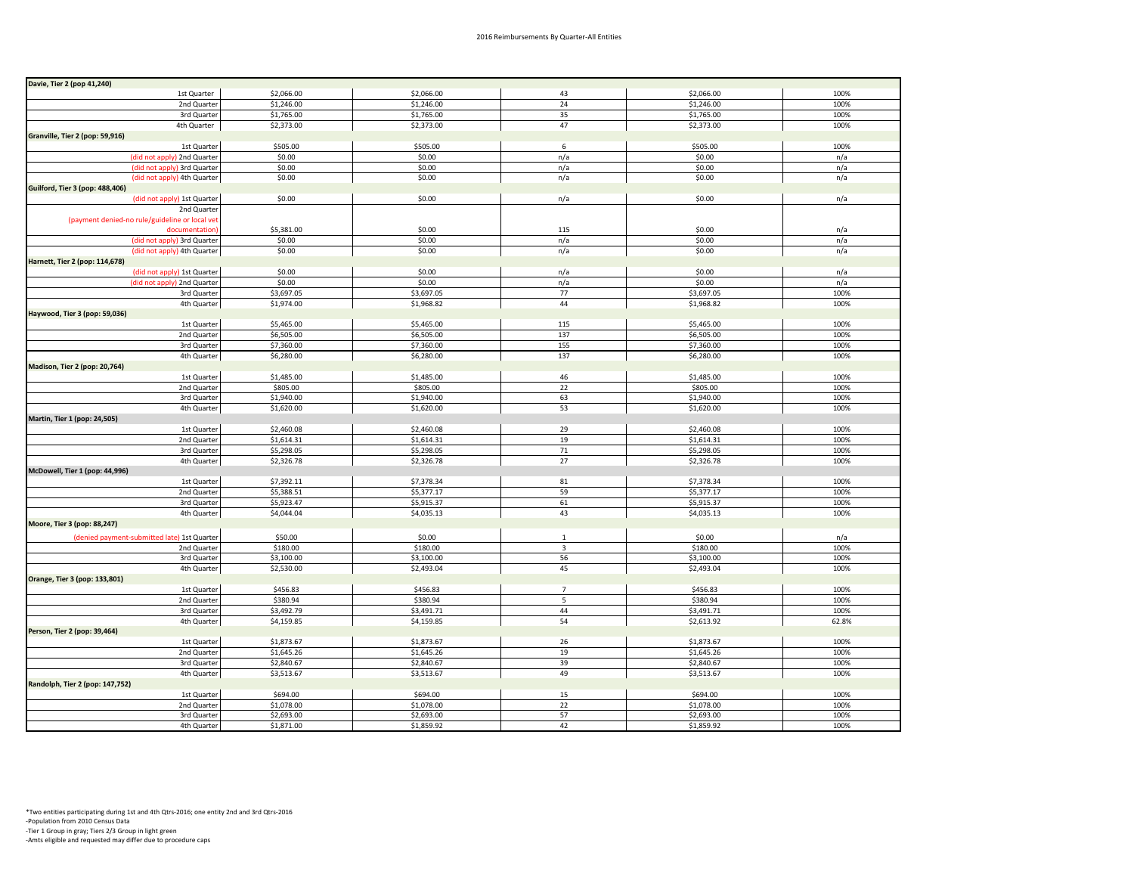| Davie, Tier 2 (pop 41,240)                     |            |            |                         |            |       |
|------------------------------------------------|------------|------------|-------------------------|------------|-------|
| 1st Quarter                                    | \$2,066.00 | \$2,066.00 | 43                      | \$2,066.00 | 100%  |
| 2nd Quarter                                    | \$1,246.00 | \$1,246.00 | 24                      | \$1,246.00 | 100%  |
| 3rd Quarter                                    | \$1,765.00 | \$1,765.00 | 35                      | \$1,765.00 | 100%  |
| 4th Quarter                                    | \$2,373.00 | \$2,373.00 | 47                      | \$2,373.00 | 100%  |
| Granville, Tier 2 (pop: 59,916)                |            |            |                         |            |       |
| 1st Quarter                                    | \$505.00   | \$505.00   | 6                       | \$505.00   | 100%  |
| (did not apply) 2nd Quarter                    | \$0.00     | \$0.00     | n/a                     | \$0.00     | n/a   |
| (did not apply) 3rd Quarter                    | \$0.00     | \$0.00     | n/a                     | \$0.00     | n/a   |
| (did not apply) 4th Quarter                    | \$0.00     | \$0.00     | n/a                     | \$0.00     | n/a   |
| <b>Guilford, Tier 3 (pop: 488,406)</b>         |            |            |                         |            |       |
| (did not apply) 1st Quarter                    | \$0.00     | \$0.00     | n/a                     | \$0.00     | n/a   |
| 2nd Quarter                                    |            |            |                         |            |       |
| (payment denied-no rule/guideline or local vet |            |            |                         |            |       |
| documentation)                                 | \$5,381.00 | \$0.00     | 115                     | \$0.00     | n/a   |
| (did not apply) 3rd Quarter                    | \$0.00     | \$0.00     | n/a                     | \$0.00     | n/a   |
| (did not apply) 4th Quarter                    | \$0.00     | \$0.00     | n/a                     | \$0.00     | n/a   |
| Harnett, Tier 2 (pop: 114,678)                 |            |            |                         |            |       |
| (did not apply) 1st Quarter                    | \$0.00     | \$0.00     | n/a                     | \$0.00     | n/a   |
| (did not apply) 2nd Quarter                    | \$0.00     | \$0.00     | n/a                     | \$0.00     | n/a   |
| 3rd Quarter                                    | \$3,697.05 | \$3,697.05 | 77                      | \$3,697.05 | 100%  |
| 4th Quarter                                    | \$1,974.00 | \$1,968.82 | 44                      | \$1,968.82 | 100%  |
| Haywood, Tier 3 (pop: 59,036)                  |            |            |                         |            |       |
| 1st Quarter                                    | \$5,465.00 | \$5,465.00 | 115                     | \$5,465.00 | 100%  |
| 2nd Quarter                                    | \$6,505.00 | \$6,505.00 | 137                     | \$6,505.00 | 100%  |
| 3rd Quarter                                    | \$7,360.00 | \$7,360.00 | 155                     | \$7,360.00 | 100%  |
| 4th Quarter                                    | \$6,280.00 | \$6,280.00 | 137                     | \$6,280.00 | 100%  |
| Madison, Tier 2 (pop: 20,764)                  |            |            |                         |            |       |
| 1st Quarter                                    | \$1,485.00 | \$1,485.00 | 46                      | \$1,485.00 | 100%  |
| 2nd Quarter                                    | \$805.00   | \$805.00   | 22                      | \$805.00   | 100%  |
| 3rd Quarter                                    | \$1,940.00 | \$1,940.00 | 63                      | \$1,940.00 | 100%  |
| 4th Quarter                                    | \$1,620.00 | \$1,620.00 | 53                      | \$1,620.00 | 100%  |
| Martin, Tier 1 (pop: 24,505)                   |            |            |                         |            |       |
| 1st Quarter                                    | \$2,460.08 | \$2,460.08 | 29                      | \$2,460.08 | 100%  |
| 2nd Quarter                                    | \$1,614.31 | \$1,614.31 | 19                      | \$1,614.31 | 100%  |
| 3rd Quarter                                    | \$5,298.05 | \$5,298.05 | $71\,$                  | \$5,298.05 | 100%  |
| 4th Quarter                                    | \$2,326.78 | \$2,326.78 | 27                      | \$2,326.78 | 100%  |
| McDowell, Tier 1 (pop: 44,996)                 |            |            |                         |            |       |
| 1st Quarter                                    | \$7,392.11 | \$7,378.34 | 81                      | \$7,378.34 | 100%  |
| 2nd Quarter                                    | \$5,388.51 | \$5,377.17 | 59                      | \$5,377.17 | 100%  |
| 3rd Quarter                                    | \$5,923.47 | \$5,915.37 | 61                      | \$5,915.37 | 100%  |
| 4th Quarter                                    | \$4,044.04 | \$4,035.13 | 43                      | \$4,035.13 | 100%  |
| Moore, Tier 3 (pop: 88,247)                    |            |            |                         |            |       |
| (denied payment-submitted late) 1st Quarter    | \$50.00    | \$0.00     | 1                       | \$0.00     | n/a   |
| 2nd Quarter                                    | \$180.00   | \$180.00   | $\overline{\mathbf{3}}$ | \$180.00   | 100%  |
| 3rd Quarter                                    | \$3,100.00 | \$3,100.00 | 56                      | \$3,100.00 | 100%  |
| 4th Quarter                                    | \$2,530.00 | \$2,493.04 | 45                      | \$2,493.04 | 100%  |
| Orange, Tier 3 (pop: 133,801)                  |            |            |                         |            |       |
| 1st Quarter                                    | \$456.83   | \$456.83   | $7\overline{ }$         | \$456.83   | 100%  |
| 2nd Quarter                                    | \$380.94   | \$380.94   | 5                       | \$380.94   | 100%  |
| 3rd Quarter                                    | \$3,492.79 | \$3,491.71 | 44                      | \$3,491.71 | 100%  |
| 4th Quarter                                    | \$4,159.85 | \$4,159.85 | 54                      | \$2,613.92 | 62.8% |
| Person, Tier 2 (pop: 39,464)                   |            |            |                         |            |       |
| 1st Quarter                                    | \$1,873.67 | \$1,873.67 | 26                      | \$1,873.67 | 100%  |
| 2nd Quarter                                    | \$1,645.26 | \$1,645.26 | 19                      | \$1,645.26 | 100%  |
| 3rd Quarter                                    | \$2,840.67 | \$2,840.67 | 39                      | \$2,840.67 | 100%  |
| 4th Quarter                                    | \$3,513.67 | \$3,513.67 | 49                      | \$3,513.67 | 100%  |
| Randolph, Tier 2 (pop: 147,752)                |            |            |                         |            |       |
| 1st Quarter                                    | \$694.00   | \$694.00   | 15                      | \$694.00   | 100%  |
| 2nd Quarter                                    | \$1,078.00 | \$1,078.00 | 22                      | \$1,078.00 | 100%  |
| 3rd Quarter                                    | \$2,693.00 | \$2,693.00 | 57                      | \$2,693.00 | 100%  |
| 4th Quarter                                    | \$1,871.00 | \$1,859.92 | 42                      | \$1,859.92 | 100%  |
|                                                |            |            |                         |            |       |